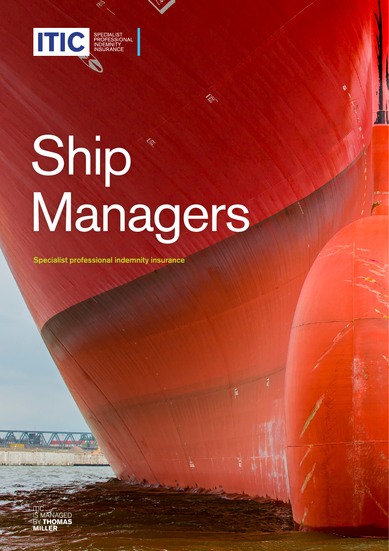

# Ship Managers

Specialist professional indemnity insurance

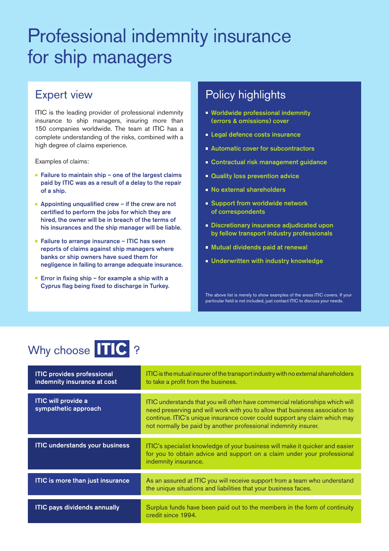### Professional indemnity insurance for ship managers

### Expert view

ITIC is the leading provider of professional indemnity insurance to ship managers, insuring more than 150 companies worldwide. The team at ITIC has a complete understanding of the risks, combined with a high degree of claims experience.

Examples of claims:

- Failure to maintain ship one of the largest claims paid by ITIC was as a result of a delay to the repair of a ship.
- Appointing unqualified crew if the crew are not certified to perform the jobs for which they are hired, the owner will be in breach of the terms of his insurances and the ship manager will be liable.
- Failure to arrange insurance ITIC has seen reports of claims against ship managers where banks or ship owners have sued them for negligence in failing to arrange adequate insurance.
- **Error in fixing ship for example a ship with a** Cyprus flag being fixed to discharge in Turkey.

### Policy highlights

- **Worldwide professional indemnity** (errors & omissions) cover
- **Legal defence costs insurance**
- **Automatic cover for subcontractors**
- **Contractual risk management guidance**
- **Quality loss prevention advice**
- **No external shareholders**
- **Support from worldwide network** of correspondents
- **Discretionary insurance adjudicated upon** by fellow transport industry professionals
- Mutual dividends paid at renewal
- **Underwritten with industry knowledge**

The above list is merely to show examples of the areas ITIC covers. If your particular field is not included, just contact ITIC to discuss your needs.

### Why choose TIC ?

| <b>ITIC provides professional</b><br>indemnity insurance at cost | ITIC is the mutual insurer of the transport industry with no external shareholders<br>to take a profit from the business.                                                                                                                                                                                     |
|------------------------------------------------------------------|---------------------------------------------------------------------------------------------------------------------------------------------------------------------------------------------------------------------------------------------------------------------------------------------------------------|
| <b>ITIC will provide a</b><br>sympathetic approach               | ITIC understands that you will often have commercial relationships which will<br>need preserving and will work with you to allow that business association to<br>continue. ITIC's unique insurance cover could support any claim which may<br>not normally be paid by another professional indemnity insurer. |
| <b>ITIC understands your business</b>                            | ITIC's specialist knowledge of your business will make it quicker and easier<br>for you to obtain advice and support on a claim under your professional<br>indemnity insurance.                                                                                                                               |
| <b>ITIC</b> is more than just insurance                          | As an assured at ITIC you will receive support from a team who understand<br>the unique situations and liabilities that your business faces.                                                                                                                                                                  |
| <b>ITIC pays dividends annually</b>                              | Surplus funds have been paid out to the members in the form of continuity<br>credit since 1994.                                                                                                                                                                                                               |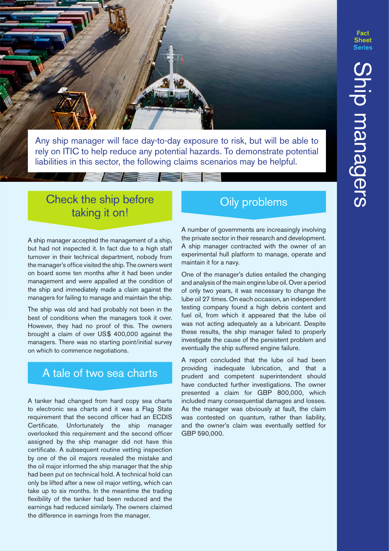

Any ship manager will face day-to-day exposure to risk, but will be able to rely on ITIC to help reduce any potential hazards. To demonstrate potential liabilities in this sector, the following claims scenarios may be helpful.

## Check the ship before Oily problems<br>taking it on!

A ship manager accepted the management of a ship, but had not inspected it. In fact due to a high staff turnover in their technical department, nobody from the manager's office visited the ship. The owners went on board some ten months after it had been under management and were appalled at the condition of the ship and immediately made a claim against the managers for failing to manage and maintain the ship.

The ship was old and had probably not been in the best of conditions when the managers took it over. However, they had no proof of this. The owners brought a claim of over US\$ 400,000 against the managers. There was no starting point/initial survey on which to commence negotiations.

### A tale of two sea charts

A tanker had changed from hard copy sea charts to electronic sea charts and it was a Flag State requirement that the second officer had an ECDIS Certificate. Unfortunately the ship manager overlooked this requirement and the second officer assigned by the ship manager did not have this certificate. A subsequent routine vetting inspection by one of the oil majors revealed the mistake and the oil major informed the ship manager that the ship had been put on technical hold. A technical hold can only be lifted after a new oil major vetting, which can take up to six months. In the meantime the trading flexibility of the tanker had been reduced and the earnings had reduced similarly. The owners claimed the difference in earnings from the manager.

A number of governments are increasingly involving the private sector in their research and development. A ship manager contracted with the owner of an experimental hull platform to manage, operate and maintain it for a navy.

One of the manager's duties entailed the changing and analysis of the main engine lube oil. Over a period of only two years, it was necessary to change the lube oil 27 times. On each occasion, an independent testing company found a high debris content and fuel oil, from which it appeared that the lube oil was not acting adequately as a lubricant. Despite these results, the ship manager failed to properly investigate the cause of the persistent problem and eventually the ship suffered engine failure.

A report concluded that the lube oil had been providing inadequate lubrication, and that a prudent and competent superintendent should have conducted further investigations. The owner presented a claim for GBP 800,000, which included many consequential damages and losses. As the manager was obviously at fault, the claim was contested on quantum, rather than liability, and the owner's claim was eventually settled for GBP 590,000.